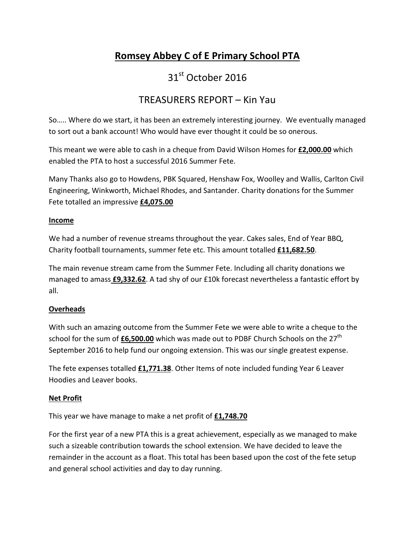## **Romsey Abbey C of E Primary School PTA**

# 31<sup>st</sup> October 2016

## TREASURERS REPORT – Kin Yau

So….. Where do we start, it has been an extremely interesting journey. We eventually managed to sort out a bank account! Who would have ever thought it could be so onerous.

This meant we were able to cash in a cheque from David Wilson Homes for **£2,000.00** which enabled the PTA to host a successful 2016 Summer Fete.

Many Thanks also go to Howdens, PBK Squared, Henshaw Fox, Woolley and Wallis, Carlton Civil Engineering, Winkworth, Michael Rhodes, and Santander. Charity donations for the Summer Fete totalled an impressive **£4,075.00**

#### **Income**

We had a number of revenue streams throughout the year. Cakes sales, End of Year BBQ, Charity football tournaments, summer fete etc. This amount totalled **£11,682.50**.

The main revenue stream came from the Summer Fete. Including all charity donations we managed to amass **£9,332.62**. A tad shy of our £10k forecast nevertheless a fantastic effort by all.

## **Overheads**

With such an amazing outcome from the Summer Fete we were able to write a cheque to the school for the sum of **£6,500.00** which was made out to PDBF Church Schools on the 27<sup>th</sup> September 2016 to help fund our ongoing extension. This was our single greatest expense.

The fete expenses totalled **£1,771.38**. Other Items of note included funding Year 6 Leaver Hoodies and Leaver books.

## **Net Profit**

This year we have manage to make a net profit of **£1,748.70**

For the first year of a new PTA this is a great achievement, especially as we managed to make such a sizeable contribution towards the school extension. We have decided to leave the remainder in the account as a float. This total has been based upon the cost of the fete setup and general school activities and day to day running.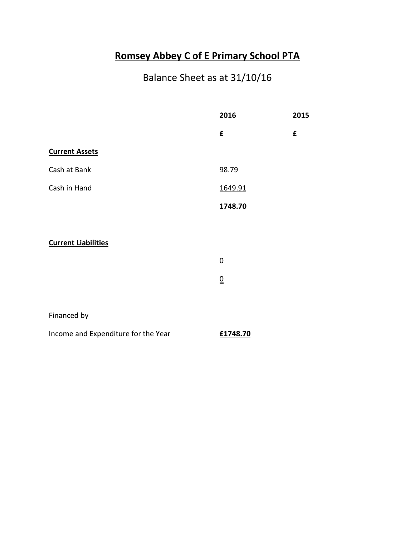# **Romsey Abbey C of E Primary School PTA**

# Balance Sheet as at 31/10/16

|                                     | 2016                        | 2015 |
|-------------------------------------|-----------------------------|------|
|                                     | £                           | £    |
| <b>Current Assets</b>               |                             |      |
| Cash at Bank                        | 98.79                       |      |
| Cash in Hand                        | 1649.91                     |      |
|                                     | 1748.70                     |      |
|                                     |                             |      |
| <b>Current Liabilities</b>          |                             |      |
|                                     | $\overline{0}$              |      |
|                                     | $\underline{\underline{0}}$ |      |
|                                     |                             |      |
| Financed by                         |                             |      |
| Income and Expenditure for the Year | £1748.70                    |      |
|                                     |                             |      |